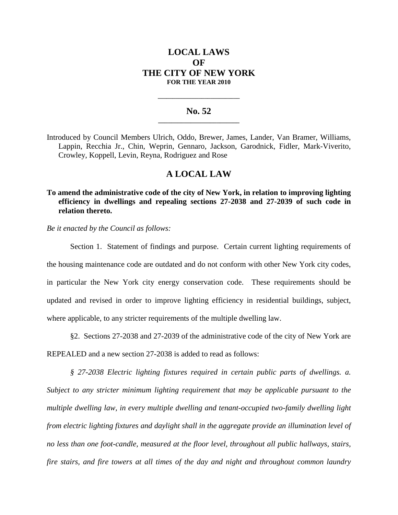# **LOCAL LAWS OF THE CITY OF NEW YORK FOR THE YEAR 2010**

### **No. 52 \_\_\_\_\_\_\_\_\_\_\_\_\_\_\_\_\_\_\_\_\_\_\_\_\_**

**\_\_\_\_\_\_\_\_\_\_\_\_\_\_\_\_\_\_\_\_\_\_\_\_\_\_\_\_**

Introduced by Council Members Ulrich, Oddo, Brewer, James, Lander, Van Bramer, Williams, Lappin, Recchia Jr., Chin, Weprin, Gennaro, Jackson, Garodnick, Fidler, Mark-Viverito, Crowley, Koppell, Levin, Reyna, Rodriguez and Rose

## **A LOCAL LAW**

**To amend the administrative code of the city of New York, in relation to improving lighting efficiency in dwellings and repealing sections 27-2038 and 27-2039 of such code in relation thereto.**

*Be it enacted by the Council as follows:*

Section 1. Statement of findings and purpose. Certain current lighting requirements of the housing maintenance code are outdated and do not conform with other New York city codes, in particular the New York city energy conservation code. These requirements should be updated and revised in order to improve lighting efficiency in residential buildings, subject, where applicable, to any stricter requirements of the multiple dwelling law.

§2. Sections 27-2038 and 27-2039 of the administrative code of the city of New York are REPEALED and a new section 27-2038 is added to read as follows:

*§ 27-2038 Electric lighting fixtures required in certain public parts of dwellings. a. Subject to any stricter minimum lighting requirement that may be applicable pursuant to the multiple dwelling law, in every multiple dwelling and tenant-occupied two-family dwelling light from electric lighting fixtures and daylight shall in the aggregate provide an illumination level of no less than one foot-candle, measured at the floor level, throughout all public hallways, stairs, fire stairs, and fire towers at all times of the day and night and throughout common laundry*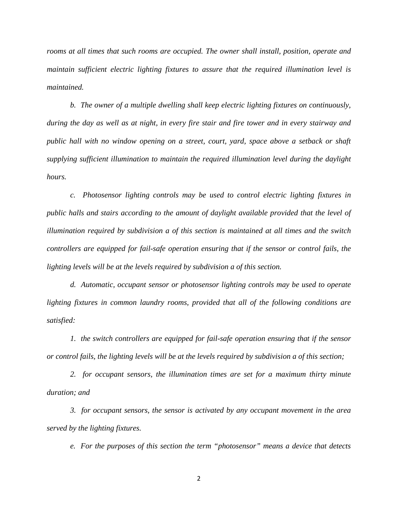*rooms at all times that such rooms are occupied. The owner shall install, position, operate and maintain sufficient electric lighting fixtures to assure that the required illumination level is maintained.*

*b. The owner of a multiple dwelling shall keep electric lighting fixtures on continuously, during the day as well as at night, in every fire stair and fire tower and in every stairway and public hall with no window opening on a street, court, yard, space above a setback or shaft supplying sufficient illumination to maintain the required illumination level during the daylight hours.*

*c. Photosensor lighting controls may be used to control electric lighting fixtures in public halls and stairs according to the amount of daylight available provided that the level of illumination required by subdivision a of this section is maintained at all times and the switch controllers are equipped for fail-safe operation ensuring that if the sensor or control fails, the lighting levels will be at the levels required by subdivision a of this section.*

*d. Automatic, occupant sensor or photosensor lighting controls may be used to operate lighting fixtures in common laundry rooms, provided that all of the following conditions are satisfied:*

*1. the switch controllers are equipped for fail-safe operation ensuring that if the sensor or control fails, the lighting levels will be at the levels required by subdivision a of this section;*

*2. for occupant sensors, the illumination times are set for a maximum thirty minute duration; and*

*3. for occupant sensors, the sensor is activated by any occupant movement in the area served by the lighting fixtures.*

*e. For the purposes of this section the term "photosensor" means a device that detects*

2